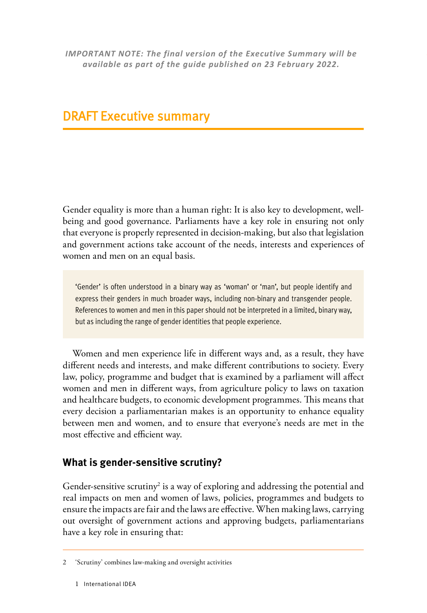*IMPORTANT NOTE: The final version of the Executive Summary will be available as part of the guide published on 23 February 2022.*

# DRAFT Executive summary

Gender equality is more than a human right: It is also key to development, wellbeing and good governance. Parliaments have a key role in ensuring not only that everyone is properly represented in decision-making, but also that legislation and government actions take account of the needs, interests and experiences of women and men on an equal basis.

'Gender' is often understood in a binary way as 'woman' or 'man', but people identify and express their genders in much broader ways, including non-binary and transgender people. References to women and men in this paper should not be interpreted in a limited, binary way, but as including the range of gender identities that people experience.

Women and men experience life in different ways and, as a result, they have different needs and interests, and make different contributions to society. Every law, policy, programme and budget that is examined by a parliament will affect women and men in different ways, from agriculture policy to laws on taxation and healthcare budgets, to economic development programmes. This means that every decision a parliamentarian makes is an opportunity to enhance equality between men and women, and to ensure that everyone's needs are met in the most effective and efficient way.

### **What is gender-sensitive scrutiny?**

Gender-sensitive scrutiny<sup>2</sup> is a way of exploring and addressing the potential and real impacts on men and women of laws, policies, programmes and budgets to ensure the impacts are fair and the laws are effective. When making laws, carrying out oversight of government actions and approving budgets, parliamentarians have a key role in ensuring that:

<sup>2</sup> 'Scrutiny' combines law-making and oversight activities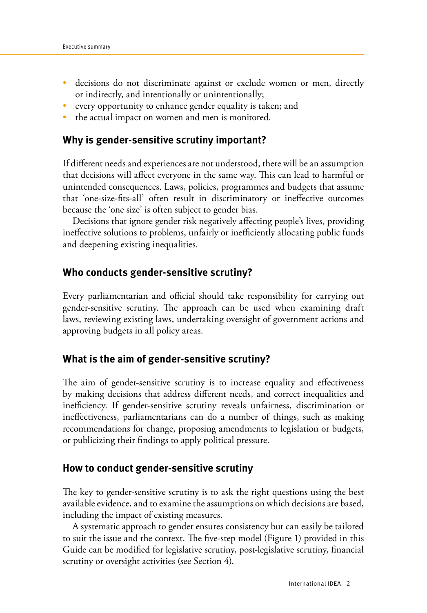- decisions do not discriminate against or exclude women or men, directly or indirectly, and intentionally or unintentionally;
- every opportunity to enhance gender equality is taken; and
- the actual impact on women and men is monitored.

#### **Why is gender-sensitive scrutiny important?**

If different needs and experiences are not understood, there will be an assumption that decisions will affect everyone in the same way. This can lead to harmful or unintended consequences. Laws, policies, programmes and budgets that assume that 'one-size-fits-all' often result in discriminatory or ineffective outcomes because the 'one size' is often subject to gender bias.

Decisions that ignore gender risk negatively affecting people's lives, providing ineffective solutions to problems, unfairly or inefficiently allocating public funds and deepening existing inequalities.

#### **Who conducts gender-sensitive scrutiny?**

Every parliamentarian and official should take responsibility for carrying out gender-sensitive scrutiny. The approach can be used when examining draft laws, reviewing existing laws, undertaking oversight of government actions and approving budgets in all policy areas.

#### **What is the aim of gender-sensitive scrutiny?**

The aim of gender-sensitive scrutiny is to increase equality and effectiveness by making decisions that address different needs, and correct inequalities and inefficiency. If gender-sensitive scrutiny reveals unfairness, discrimination or ineffectiveness, parliamentarians can do a number of things, such as making recommendations for change, proposing amendments to legislation or budgets, or publicizing their findings to apply political pressure.

#### **How to conduct gender-sensitive scrutiny**

The key to gender-sensitive scrutiny is to ask the right questions using the best available evidence, and to examine the assumptions on which decisions are based, including the impact of existing measures.

A systematic approach to gender ensures consistency but can easily be tailored to suit the issue and the context. The five-step model (Figure 1) provided in this Guide can be modified for legislative scrutiny, post-legislative scrutiny, financial scrutiny or oversight activities (see Section 4).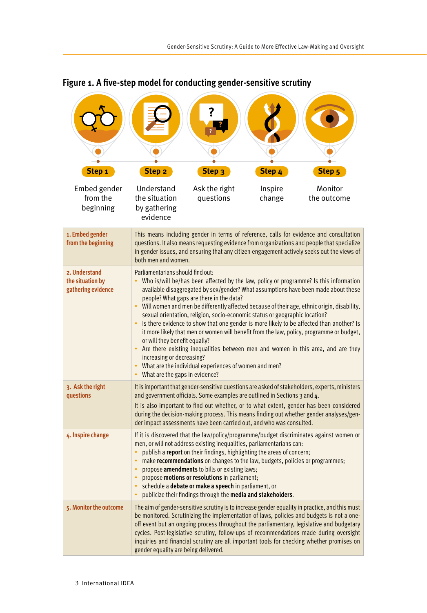| Step <sub>1</sub>                                       | Step <sub>2</sub>                                                                                                                                                                                                                                                                                                                                                                                                                                                                                                                                                                                                                                                                                                                                                                                                                                                                                             | Step <sub>3</sub>          | Step 4            | Step 5                 |
|---------------------------------------------------------|---------------------------------------------------------------------------------------------------------------------------------------------------------------------------------------------------------------------------------------------------------------------------------------------------------------------------------------------------------------------------------------------------------------------------------------------------------------------------------------------------------------------------------------------------------------------------------------------------------------------------------------------------------------------------------------------------------------------------------------------------------------------------------------------------------------------------------------------------------------------------------------------------------------|----------------------------|-------------------|------------------------|
| Embed gender<br>from the<br>beginning                   | Understand<br>the situation<br>by gathering<br>evidence                                                                                                                                                                                                                                                                                                                                                                                                                                                                                                                                                                                                                                                                                                                                                                                                                                                       | Ask the right<br>questions | Inspire<br>change | Monitor<br>the outcome |
| 1. Embed gender<br>from the beginning                   | This means including gender in terms of reference, calls for evidence and consultation<br>questions. It also means requesting evidence from organizations and people that specialize<br>in gender issues, and ensuring that any citizen engagement actively seeks out the views of<br>both men and women.                                                                                                                                                                                                                                                                                                                                                                                                                                                                                                                                                                                                     |                            |                   |                        |
| 2. Understand<br>the situation by<br>gathering evidence | Parliamentarians should find out:<br>Who is/will be/has been affected by the law, policy or programme? Is this information<br>available disaggregated by sex/gender? What assumptions have been made about these<br>people? What gaps are there in the data?<br>$\bullet$<br>Will women and men be differently affected because of their age, ethnic origin, disability,<br>sexual orientation, religion, socio-economic status or geographic location?<br>Is there evidence to show that one gender is more likely to be affected than another? Is<br>$\bullet$<br>it more likely that men or women will benefit from the law, policy, programme or budget,<br>or will they benefit equally?<br>• Are there existing inequalities between men and women in this area, and are they<br>increasing or decreasing?<br>• What are the individual experiences of women and men?<br>What are the gaps in evidence? |                            |                   |                        |
| 3. Ask the right<br>questions                           | It is important that gender-sensitive questions are asked of stakeholders, experts, ministers<br>and government officials. Some examples are outlined in Sections 3 and 4.<br>It is also important to find out whether, or to what extent, gender has been considered<br>during the decision-making process. This means finding out whether gender analyses/gen-<br>der impact assessments have been carried out, and who was consulted.                                                                                                                                                                                                                                                                                                                                                                                                                                                                      |                            |                   |                        |
| 4. Inspire change                                       | If it is discovered that the law/policy/programme/budget discriminates against women or<br>men, or will not address existing inequalities, parliamentarians can:<br>publish a report on their findings, highlighting the areas of concern;<br>$\bullet$<br>make <b>recommendations</b> on changes to the law, budgets, policies or programmes;<br>$\bullet$<br>propose amendments to bills or existing laws;<br>$\bullet$<br>propose motions or resolutions in parliament;<br>$\bullet$<br>schedule a debate or make a speech in parliament, or<br>publicize their findings through the media and stakeholders.                                                                                                                                                                                                                                                                                               |                            |                   |                        |
| 5. Monitor the outcome                                  | The aim of gender-sensitive scrutiny is to increase gender equality in practice, and this must<br>be monitored. Scrutinizing the implementation of laws, policies and budgets is not a one-<br>off event but an ongoing process throughout the parliamentary, legislative and budgetary<br>cycles. Post-legislative scrutiny, follow-ups of recommendations made during oversight<br>inquiries and financial scrutiny are all important tools for checking whether promises on<br>gender equality are being delivered.                                                                                                                                                                                                                                                                                                                                                                                        |                            |                   |                        |

## **Figure 1. A five-step model for conducting gender-sensitive scrutiny**